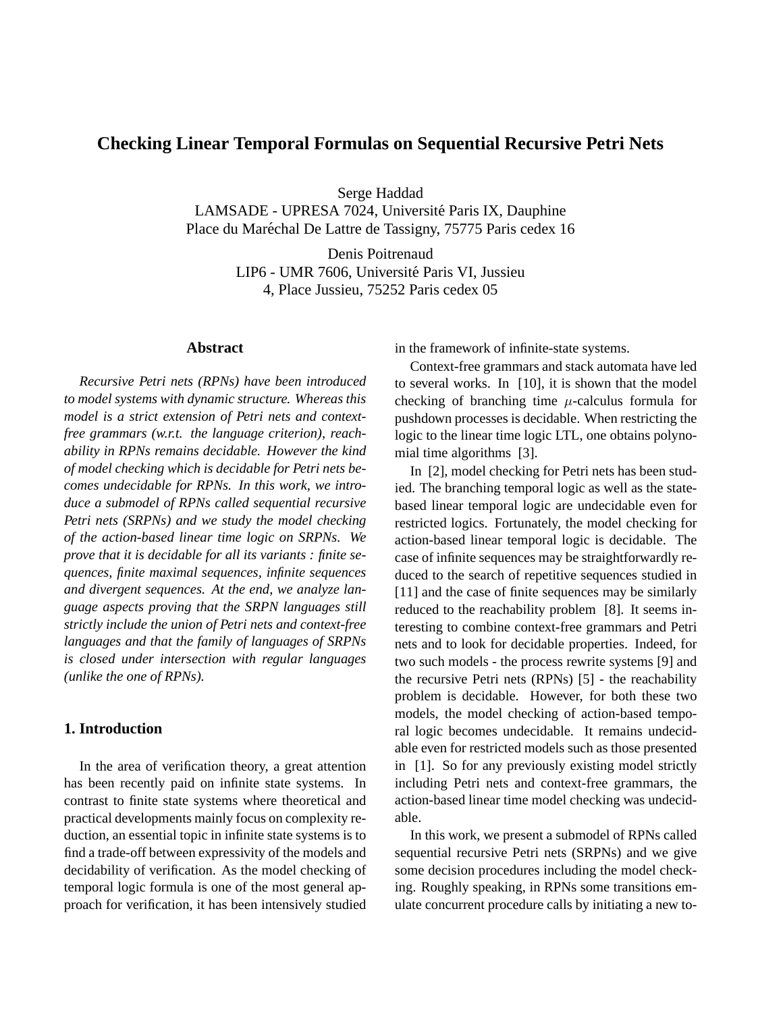# **Checking Linear Temporal Formulas on Sequential Recursive Petri Nets**

Serge Haddad

LAMSADE - UPRESA 7024, Université Paris IX, Dauphine Place du Maréchal De Lattre de Tassigny, 75775 Paris cedex 16

> Denis Poitrenaud LIP6 - UMR 7606, Universite Paris VI, Jussieu ´ 4, Place Jussieu, 75252 Paris cedex 05

#### **Abstract**

*Recursive Petri nets (RPNs) have been introduced to model systems with dynamic structure. Whereas this model is a strict extension of Petri nets and contextfree grammars (w.r.t. the language criterion), reachability in RPNs remains decidable. However the kind of model checking which is decidable for Petri nets becomes undecidable for RPNs. In this work, we introduce a submodel of RPNs called sequential recursive Petri nets (SRPNs) and we study the model checking of the action-based linear time logic on SRPNs. We prove that it is decidable for all its variants : finite sequences, finite maximal sequences, infinite sequences and divergent sequences. At the end, we analyze language aspects proving that the SRPN languages still strictly include the union of Petri nets and context-free languages and that the family of languages of SRPNs is closed under intersection with regular languages (unlike the one of RPNs).*

### **1. Introduction**

In the area of verification theory, a great attention has been recently paid on infinite state systems. In contrast to finite state systems where theoretical and practical developments mainly focus on complexity reduction, an essential topic in infinite state systems is to find a trade-off between expressivity of the models and decidability of verification. As the model checking of temporal logic formula is one of the most general approach for verification, it has been intensively studied in the framework of infinite-state systems.

Context-free grammars and stack automata have led to several works. In [10], it is shown that the model checking of branching time  $\mu$ -calculus formula for pushdown processes is decidable. When restricting the logic to the linear time logic LTL, one obtains polynomial time algorithms [3].

In [2], model checking for Petri nets has been studied. The branching temporal logic as well as the statebased linear temporal logic are undecidable even for restricted logics. Fortunately, the model checking for action-based linear temporal logic is decidable. The case of infinite sequences may be straightforwardly reduced to the search of repetitive sequences studied in [11] and the case of finite sequences may be similarly reduced to the reachability problem [8]. It seems interesting to combine context-free grammars and Petri nets and to look for decidable properties. Indeed, for two such models - the process rewrite systems [9] and the recursive Petri nets (RPNs) [5] - the reachability problem is decidable. However, for both these two models, the model checking of action-based temporal logic becomes undecidable. It remains undecidable even for restricted models such as those presented in [1]. So for any previously existing model strictly including Petri nets and context-free grammars, the action-based linear time model checking was undecidable.

In this work, we present a submodel of RPNs called sequential recursive Petri nets (SRPNs) and we give some decision procedures including the model checking. Roughly speaking, in RPNs some transitions emulate concurrent procedure calls by initiating a new to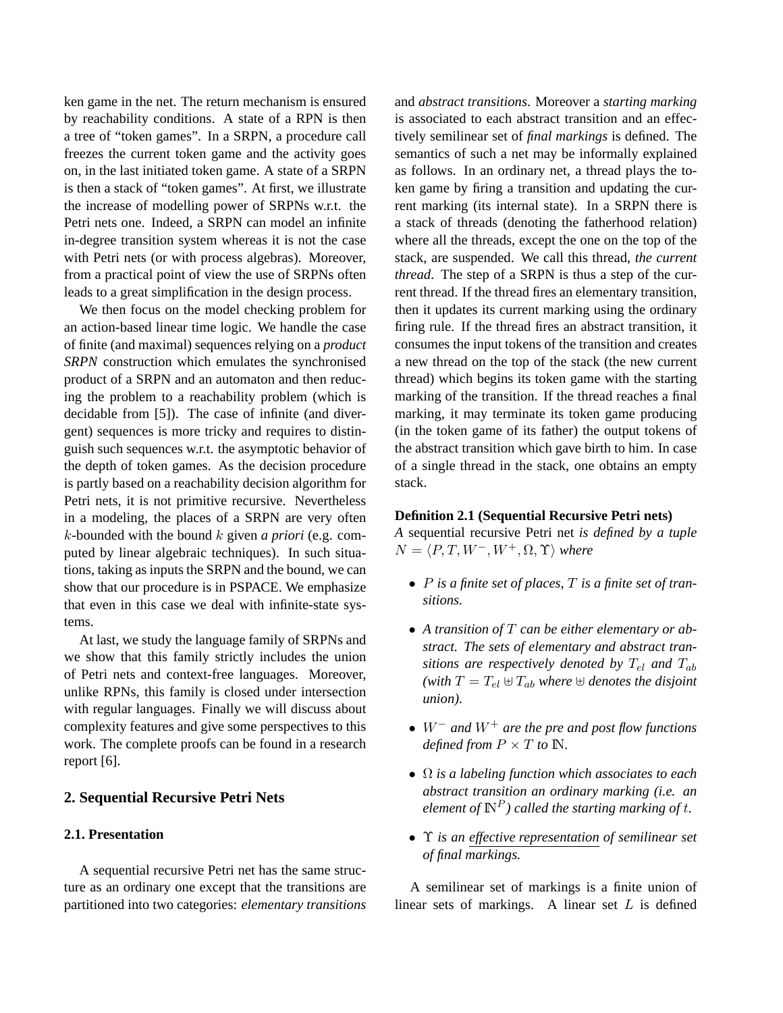ken game in the net. The return mechanism is ensured by reachability conditions. A state of a RPN is then a tree of "token games". In a SRPN, a procedure call freezes the current token game and the activity goes on, in the last initiated token game. A state of a SRPN is then a stack of "token games". At first, we illustrate the increase of modelling power of SRPNs w.r.t. the Petri nets one. Indeed, a SRPN can model an infinite in-degree transition system whereas it is not the case with Petri nets (or with process algebras). Moreover, from a practical point of view the use of SRPNs often leads to a great simplification in the design process.

We then focus on the model checking problem for an action-based linear time logic. We handle the case of finite (and maximal) sequences relying on a *product SRPN* construction which emulates the synchronised product of a SRPN and an automaton and then reducing the problem to a reachability problem (which is decidable from [5]). The case of infinite (and divergent) sequences is more tricky and requires to distinguish such sequences w.r.t. the asymptotic behavior of the depth of token games. As the decision procedure is partly based on a reachability decision algorithm for Petri nets, it is not primitive recursive. Nevertheless in a modeling, the places of a SRPN are very often k-bounded with the bound k given *a priori* (e.g. computed by linear algebraic techniques). In such situations, taking as inputs the SRPN and the bound, we can show that our procedure is in PSPACE. We emphasize that even in this case we deal with infinite-state systems.

At last, we study the language family of SRPNs and we show that this family strictly includes the union of Petri nets and context-free languages. Moreover, unlike RPNs, this family is closed under intersection with regular languages. Finally we will discuss about complexity features and give some perspectives to this work. The complete proofs can be found in a research report [6].

# **2. Sequential Recursive Petri Nets**

# **2.1. Presentation**

A sequential recursive Petri net has the same structure as an ordinary one except that the transitions are partitioned into two categories: *elementary transitions* and *abstract transitions*. Moreover a *starting marking* is associated to each abstract transition and an effectively semilinear set of *final markings* is defined. The semantics of such a net may be informally explained as follows. In an ordinary net, a thread plays the token game by firing a transition and updating the current marking (its internal state). In a SRPN there is a stack of threads (denoting the fatherhood relation) where all the threads, except the one on the top of the stack, are suspended. We call this thread, *the current thread*. The step of a SRPN is thus a step of the current thread. If the thread fires an elementary transition, then it updates its current marking using the ordinary firing rule. If the thread fires an abstract transition, it consumes the input tokens of the transition and creates a new thread on the top of the stack (the new current thread) which begins its token game with the starting marking of the transition. If the thread reaches a final marking, it may terminate its token game producing (in the token game of its father) the output tokens of the abstract transition which gave birth to him. In case of a single thread in the stack, one obtains an empty stack.

#### **Definition 2.1 (Sequential Recursive Petri nets)**

*A* sequential recursive Petri net *is defined by a tuple*  $N = \langle P, T, W^-, W^+, \Omega, \Upsilon \rangle$  *where* 

- P *is a finite set of places,* T *is a finite set of transitions.*
- *A transition of* T *can be either elementary or abstract. The sets of elementary and abstract transitions are respectively denoted by*  $T_{el}$  *and*  $T_{ab}$ *(with*  $T = T_{el} \oplus T_{ab}$  *where*  $\oplus$  *denotes the disjoint union).*
- W<sup>−</sup> *and* W<sup>+</sup> *are the pre and post flow functions defined from*  $P \times T$  *to*  $\mathbb{N}$ *.*
- Ω *is a labeling function which associates to each abstract transition an ordinary marking (i.e. an element of*  $\mathbb{N}^P$ ) called the starting marking of t.
- Υ *is an effective representation of semilinear set of final markings.*

A semilinear set of markings is a finite union of linear sets of markings. A linear set  $L$  is defined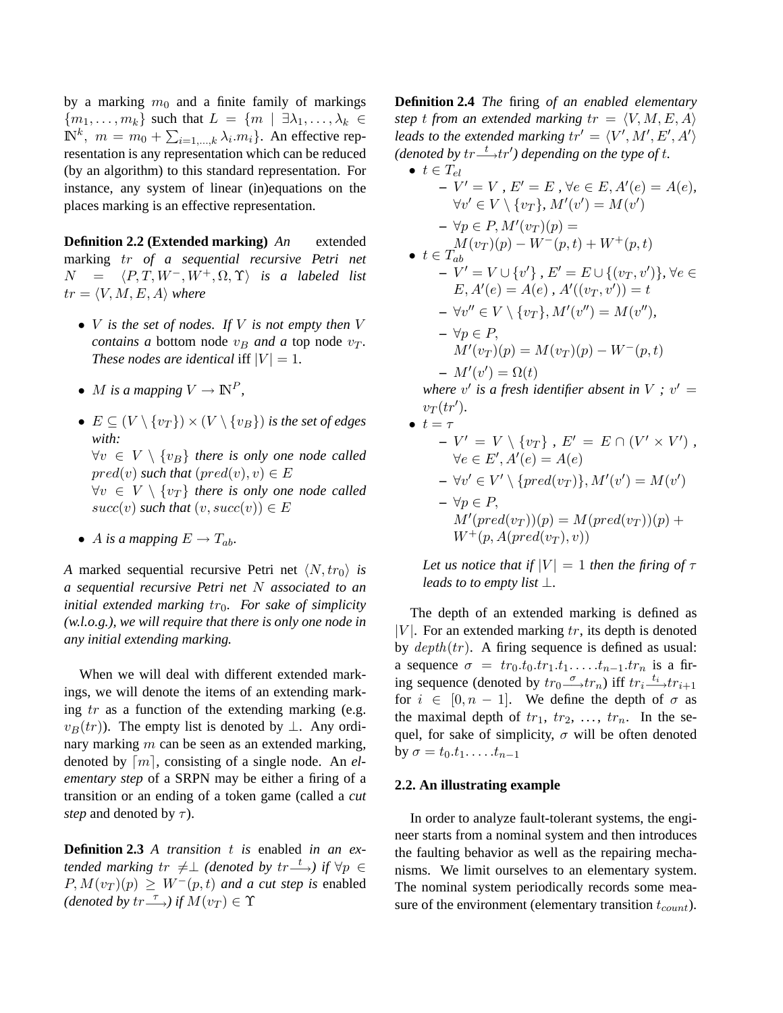by a marking  $m_0$  and a finite family of markings  ${m_1, \ldots, m_k}$  such that  $L = {m \mid \exists \lambda_1, \ldots, \lambda_k \in \mathbb{R}^{n \times k}}$  $\mathbb{N}^k$ ,  $m = m_0 + \sum_{i=1,\dots,k} \lambda_i \cdot m_i$ . An effective representation is any representation which can be reduced (by an algorithm) to this standard representation. For instance, any system of linear (in)equations on the places marking is an effective representation.

**Definition 2.2 (Extended marking)** An extended marking tr *of a sequential recursive Petri net*  $N = \langle P, T, W^-, W^+, \Omega, \Upsilon \rangle$  *is a labeled list*  $tr = \langle V, M, E, A \rangle$  *where* 

- V *is the set of nodes. If* V *is not empty then* V *contains a* bottom node  $v_B$  *and a* top node  $v_T$ . *These nodes are identical* iff  $|V| = 1$ *.*
- *M* is a mapping  $V \to \mathbb{N}^P$ ,
- $E \subseteq (V \setminus \{v_T\}) \times (V \setminus \{v_B\})$  *is the set of edges with:*  $\forall v \in V \setminus \{v_B\}$  there is only one node called  $pred(v)$  *such that*  $(pred(v), v) \in E$  $\forall v \in V \setminus \{v_T\}$  there is only one node called  $succ(v)$  *such that*  $(v, succ(v)) \in E$
- A is a mapping  $E \to T_{ab}$ .

*A* marked sequential recursive Petri net  $\langle N, tr_0 \rangle$  *is a sequential recursive Petri net* N *associated to an initial extended marking*  $tr_0$ *. For sake of simplicity (w.l.o.g.), we will require that there is only one node in any initial extending marking.*

When we will deal with different extended markings, we will denote the items of an extending marking  $tr$  as a function of the extending marking (e.g.  $v_B(tr)$ ). The empty list is denoted by  $\perp$ . Any ordinary marking  $m$  can be seen as an extended marking, denoted by  $\lceil m \rceil$ , consisting of a single node. An *elementary step* of a SRPN may be either a firing of a transition or an ending of a token game (called a *cut step* and denoted by  $\tau$ ).

**Definition 2.3** *A transition* t *is* enabled *in an extended marking*  $tr \neq \perp$  *(denoted by*  $tr \stackrel{t}{\longrightarrow}$ *) if*  $\forall p \in$  $P, M(v_T)(p) \geq W^-(p, t)$  *and a cut step is enabled (denoted by tr*  $\longrightarrow$ *) if*  $M(v_T) \in \Upsilon$ 

**Definition 2.4** *The* firing *of an enabled elementary step t from an extended marking*  $tr = \langle V, M, E, A \rangle$ *leads to the extended marking*  $tr' = \langle V', M', E', A' \rangle$  $(denoted by tr \xrightarrow{t} tr')$  depending on the type of t.

\n- \n
$$
t \in T_{el}
$$
\n $-V' = V$ ,  $E' = E$ ,  $\forall e \in E$ ,  $A'(e) = A(e)$ ,  $\forall v' \in V \setminus \{v_T\}$ ,  $M'(v') = M(v')$ \n $- \forall p \in P$ ,  $M'(v_T)(p) = M(v_T)(p) - W^-(p, t) + W^+(p, t)$ \n
\n- \n $t \in T_{ab}$ \n $- V' = V \cup \{v'\}$ ,  $E' = E \cup \{(v_T, v')\}$ ,  $\forall e \in E$ ,  $A'(e) = A(e)$ ,  $A'((v_T, v')) = t$ \n $- \forall v'' \in V \setminus \{v_T\}$ ,  $M'(v'') = M(v'')$ ,  $- \forall p \in P$ ,  $M'(v_T)(p) = M(v_T)(p) - W^-(p, t)$ \n $- M'(v') = \Omega(t)$ \n
\n- \n*where*  $v'$  *is a fresh identifier absent in*  $V$ ;  $v' = v_T(tr')$ .\n
\n- \n $t = \pi$ \n
\n

$$
V = V
$$
  
\n
$$
-V' = V \setminus \{v_T\}, E' = E \cap (V' \times V')
$$
  
\n
$$
\forall e \in E', A'(e) = A(e)
$$
  
\n
$$
- \forall v' \in V' \setminus \{pred(v_T)\}, M'(v') = M(v')
$$
  
\n
$$
- \forall p \in P,
$$
  
\n
$$
M'(pred(v_T))(p) = M(pred(v_T))(p) + W^+(p, A(pred(v_T), v))
$$

*Let us notice that if*  $|V| = 1$  *then the firing of*  $\tau$ *leads to to empty list* ⊥*.*

The depth of an extended marking is defined as  $|V|$ . For an extended marking tr, its depth is denoted by  $depth(tr)$ . A firing sequence is defined as usual: a sequence  $\sigma = tr_0.t_0.tr_1.t_1.\ldots.t_{n-1}.tr_n$  is a firing sequence (denoted by  $tr_0 \xrightarrow{\sigma} tr_n$ ) iff  $tr_i \xrightarrow{t_i} tr_{i+1}$ for  $i \in [0, n-1]$ . We define the depth of  $\sigma$  as the maximal depth of  $tr_1$ ,  $tr_2$ , ...,  $tr_n$ . In the sequel, for sake of simplicity,  $\sigma$  will be often denoted by  $\sigma = t_0 \cdot t_1 \cdot \ldots \cdot t_{n-1}$ 

#### **2.2. An illustrating example**

In order to analyze fault-tolerant systems, the engineer starts from a nominal system and then introduces the faulting behavior as well as the repairing mechanisms. We limit ourselves to an elementary system. The nominal system periodically records some measure of the environment (elementary transition  $t_{count}$ ).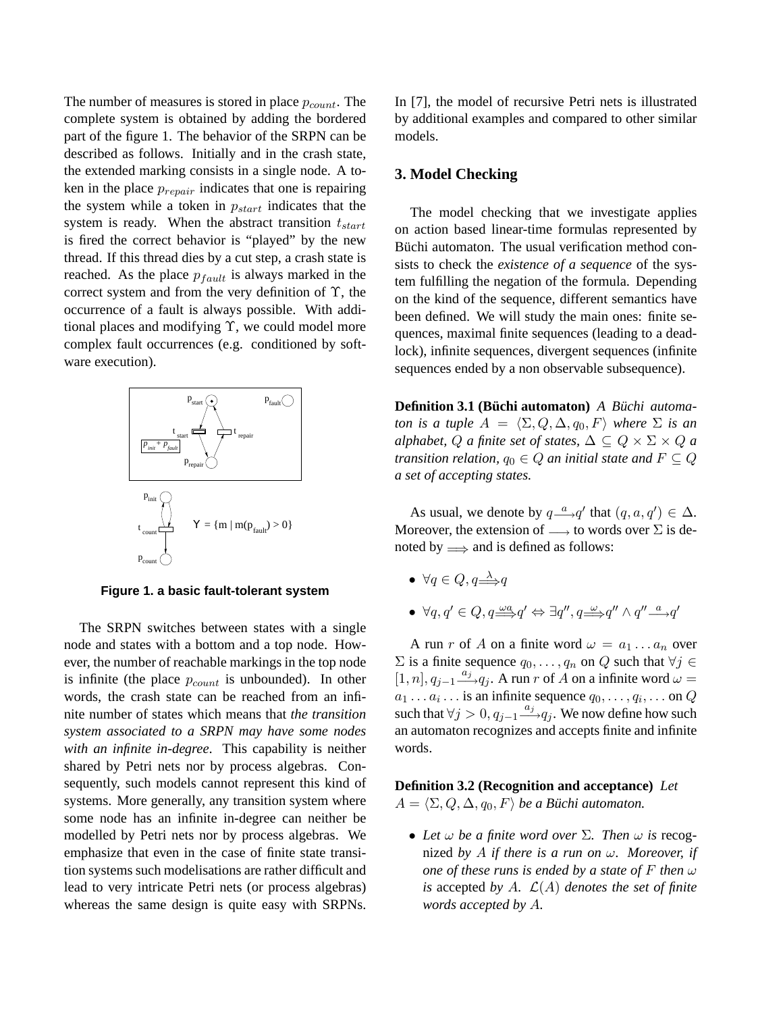The number of measures is stored in place  $p_{count}$ . The complete system is obtained by adding the bordered part of the figure 1. The behavior of the SRPN can be described as follows. Initially and in the crash state, the extended marking consists in a single node. A token in the place  $p_{repair}$  indicates that one is repairing the system while a token in  $p_{start}$  indicates that the system is ready. When the abstract transition  $t_{start}$ is fired the correct behavior is "played" by the new thread. If this thread dies by a cut step, a crash state is reached. As the place  $p_{fault}$  is always marked in the correct system and from the very definition of  $\Upsilon$ , the occurrence of a fault is always possible. With additional places and modifying  $\Upsilon$ , we could model more complex fault occurrences (e.g. conditioned by software execution).



**Figure 1. a basic fault-tolerant system**

The SRPN switches between states with a single node and states with a bottom and a top node. However, the number of reachable markings in the top node is infinite (the place  $p_{count}$  is unbounded). In other words, the crash state can be reached from an infinite number of states which means that *the transition system associated to a SRPN may have some nodes with an infinite in-degree*. This capability is neither shared by Petri nets nor by process algebras. Consequently, such models cannot represent this kind of systems. More generally, any transition system where some node has an infinite in-degree can neither be modelled by Petri nets nor by process algebras. We emphasize that even in the case of finite state transition systems such modelisations are rather difficult and lead to very intricate Petri nets (or process algebras) whereas the same design is quite easy with SRPNs.

In [7], the model of recursive Petri nets is illustrated by additional examples and compared to other similar models.

### **3. Model Checking**

The model checking that we investigate applies on action based linear-time formulas represented by Büchi automaton. The usual verification method consists to check the *existence of a sequence* of the system fulfilling the negation of the formula. Depending on the kind of the sequence, different semantics have been defined. We will study the main ones: finite sequences, maximal finite sequences (leading to a deadlock), infinite sequences, divergent sequences (infinite sequences ended by a non observable subsequence).

**Definition 3.1 (Büchi automaton)** A Büchi automa*ton is a tuple*  $A = \langle \Sigma, Q, \Delta, q_0, F \rangle$  *where*  $\Sigma$  *is an alphabet,* Q *a finite set of states,*  $\Delta \subseteq Q \times \Sigma \times Q$  *a transition relation,*  $q_0 \in Q$  *an initial state and*  $F \subseteq Q$ *a set of accepting states.*

As usual, we denote by  $q \stackrel{a}{\longrightarrow} q'$  that  $(q, a, q') \in \Delta$ . Moreover, the extension of  $\longrightarrow$  to words over  $\Sigma$  is denoted by  $\Longrightarrow$  and is defined as follows:

- $\forall q \in Q, q \Longrightarrow q$
- $\forall q, q' \in Q, q \stackrel{\omega a}{\Longrightarrow} q' \Leftrightarrow \exists q'', q \stackrel{\omega}{\Longrightarrow} q'' \wedge q'' \stackrel{a}{\longrightarrow} q'$

A run r of A on a finite word  $\omega = a_1 \dots a_n$  over  $\Sigma$  is a finite sequence  $q_0, \ldots, q_n$  on  $Q$  such that  $\forall j \in$  $[1, n], q_{j-1} \stackrel{a_j}{\longrightarrow} q_j$ . A run r of A on a infinite word  $\omega =$  $a_1 \dots a_i \dots$  is an infinite sequence  $q_0, \dots, q_i, \dots$  on  $Q$ such that  $\forall j > 0, q_{j-1} \stackrel{a_j}{\longrightarrow} q_j$ . We now define how such an automaton recognizes and accepts finite and infinite words.

**Definition 3.2 (Recognition and acceptance)** *Let*  $A = \langle \Sigma, Q, \Delta, q_0, F \rangle$  *be a Büchi automaton.* 

• *Let* ω *be a finite word over* Σ*. Then* ω *is* recognized *by* A *if there is a run on* ω*. Moreover, if one of these runs is ended by a state of*  $F$  *then*  $\omega$ *is* accepted *by* A.  $\mathcal{L}(A)$  *denotes the set of finite words accepted by* A*.*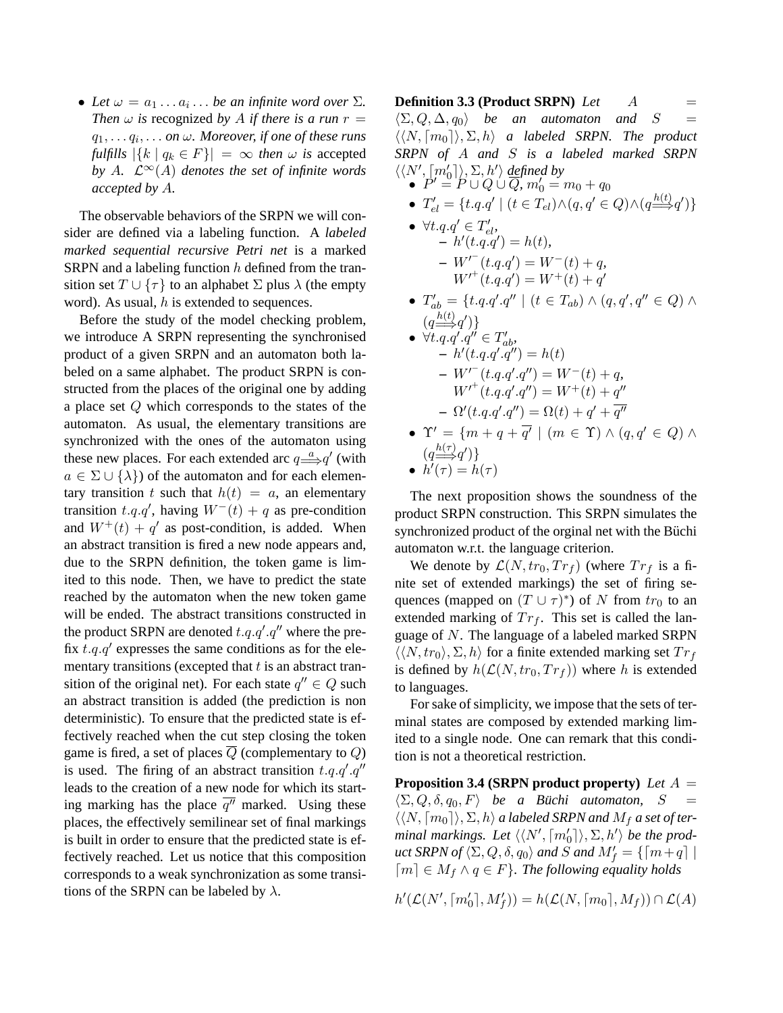• Let  $\omega = a_1 \dots a_i \dots$  be an infinite word over  $\Sigma$ . *Then*  $\omega$  *is* recognized *by* A *if there is a run*  $r =$  $q_1, \ldots q_i, \ldots$  on  $\omega$ . Moreover, if one of these runs *fulfills*  $|\{k \mid q_k \in F\}| = \infty$  *then*  $\omega$  *is* accepted *by* A.  $\mathcal{L}^{\infty}(A)$  *denotes the set of infinite words accepted by* A*.*

The observable behaviors of the SRPN we will consider are defined via a labeling function. A *labeled marked sequential recursive Petri net* is a marked SRPN and a labeling function  $h$  defined from the transition set  $T \cup \{\tau\}$  to an alphabet  $\Sigma$  plus  $\lambda$  (the empty word). As usual,  $h$  is extended to sequences.

Before the study of the model checking problem, we introduce A SRPN representing the synchronised product of a given SRPN and an automaton both labeled on a same alphabet. The product SRPN is constructed from the places of the original one by adding a place set Q which corresponds to the states of the automaton. As usual, the elementary transitions are synchronized with the ones of the automaton using these new places. For each extended arc  $q \stackrel{a}{\Longrightarrow} q'$  (with  $a \in \Sigma \cup \{\lambda\}$  of the automaton and for each elementary transition t such that  $h(t) = a$ , an elementary transition  $t.q.q'$ , having  $W^-(t) + q$  as pre-condition and  $W^+(t) + q'$  as post-condition, is added. When an abstract transition is fired a new node appears and, due to the SRPN definition, the token game is limited to this node. Then, we have to predict the state reached by the automaton when the new token game will be ended. The abstract transitions constructed in the product SRPN are denoted  $t.q.q'.q''$  where the prefix  $t.q.q'$  expresses the same conditions as for the elementary transitions (excepted that  $t$  is an abstract transition of the original net). For each state  $q'' \in Q$  such an abstract transition is added (the prediction is non deterministic). To ensure that the predicted state is effectively reached when the cut step closing the token game is fired, a set of places  $\overline{Q}$  (complementary to  $Q$ ) is used. The firing of an abstract transition  $t.q.q'.q''$ leads to the creation of a new node for which its starting marking has the place  $\overline{q''}$  marked. Using these places, the effectively semilinear set of final markings is built in order to ensure that the predicted state is effectively reached. Let us notice that this composition corresponds to a weak synchronization as some transitions of the SRPN can be labeled by  $\lambda$ .

**Definition 3.3 (Product SRPN)** *Let* A =  $\langle \Sigma, Q, \Delta, q_0 \rangle$  *be an automaton and* S =  $\langle \langle N, \lceil m_0 \rceil \rangle, \Sigma, h \rangle$  *a labeled SRPN. The product SRPN of* A *and* S *is a labeled marked SRPN*  $\langle \langle N', [m'_0] \rangle, \Sigma, h' \rangle$  *defined by* 

- $\overrightarrow{P'} = \overrightarrow{P} \cup \overrightarrow{Q} \cup \overrightarrow{Q}$ ,  $m'_0 = m_0 + q_0$
- $T'_{el} = \{t.q.q' \mid (t \in T_{el}) \land (q,q' \in Q) \land (q \stackrel{h(t)}{\Longrightarrow} q')\}$  $\bullet \ \forall t.q.q' \in T'_{el},$

$$
- h'(t.q.q') = h(t),
$$
  
\n
$$
- W^{r}(t.q.q') = W^{-}(t) + q,
$$
  
\n
$$
W^{r}(t.q.q') = W^{+}(t) + q'
$$

•  $T'_{ab} = \{t.q.q'.q'' \mid (t \in T_{ab}) \wedge (q,q',q'' \in Q) \wedge (q',q'' \in T_{ab})\}$  $(q \stackrel{h(t)}{\Longrightarrow} q')\}$ 

• 
$$
\forall t. q. q'. q'' \in T'_{ab},
$$
  
\n- 
$$
h'(t. q. q'. q'') = h(t)
$$
  
\n- 
$$
W'^{-}(t. q. q'. q'') = W^{-}(t) + q,
$$
  
\n
$$
W'^{+}(t. q. q'. q'') = W^{+}(t) + q''
$$
  
\n- 
$$
\Omega'(t. q. q'. q'') = \Omega(t) + q' + \overline{q''}
$$

•  $\Upsilon' = \{m + q + \overline{q'} \mid (m \in \Upsilon) \wedge (q, q' \in Q) \wedge$  $(q \stackrel{h(\tau)}{\Longrightarrow} q')\}$ •  $h'(\tau) = h(\tau)$ 

The next proposition shows the soundness of the product SRPN construction. This SRPN simulates the synchronized product of the orginal net with the Büchi automaton w.r.t. the language criterion.

We denote by  $\mathcal{L}(N, tr_0, Tr_f)$  (where  $Tr_f$  is a finite set of extended markings) the set of firing sequences (mapped on  $(T \cup \tau)^*$ ) of N from  $tr_0$  to an extended marking of  $Tr_f$ . This set is called the language of N. The language of a labeled marked SRPN  $\langle \langle N, tr_0 \rangle, \Sigma, h \rangle$  for a finite extended marking set  $Tr_f$ is defined by  $h(\mathcal{L}(N, tr_0, Tr_f))$  where h is extended to languages.

For sake of simplicity, we impose that the sets of terminal states are composed by extended marking limited to a single node. One can remark that this condition is not a theoretical restriction.

**Proposition 3.4 (SRPN product property)** *Let* A =  $\langle \Sigma, Q, \delta, q_0, F \rangle$  *be a Büchi automaton,*  $S =$  $\langle \langle N, \lceil m_0 \rceil \rangle, \Sigma, h \rangle$  *a labeled SRPN and*  $M_f$  *a set of ter* $m$ inal markings. Let  $\langle\langle N',\lceil m'_0\rceil\rangle, \Sigma, h'\rangle$  be the prod*uct SRPN of*  $\langle \Sigma, Q, \delta, q_0 \rangle$  *and*  $\overline{S}$  *and*  $M_f' = \{\lceil m+q \rceil \mid \delta \}$  $\lceil m \rceil \in M_f \land q \in F$ *}. The following equality holds* 

$$
h'(\mathcal{L}(N', \lceil m_0' \rceil, M_f')) = h(\mathcal{L}(N, \lceil m_0 \rceil, M_f)) \cap \mathcal{L}(A)
$$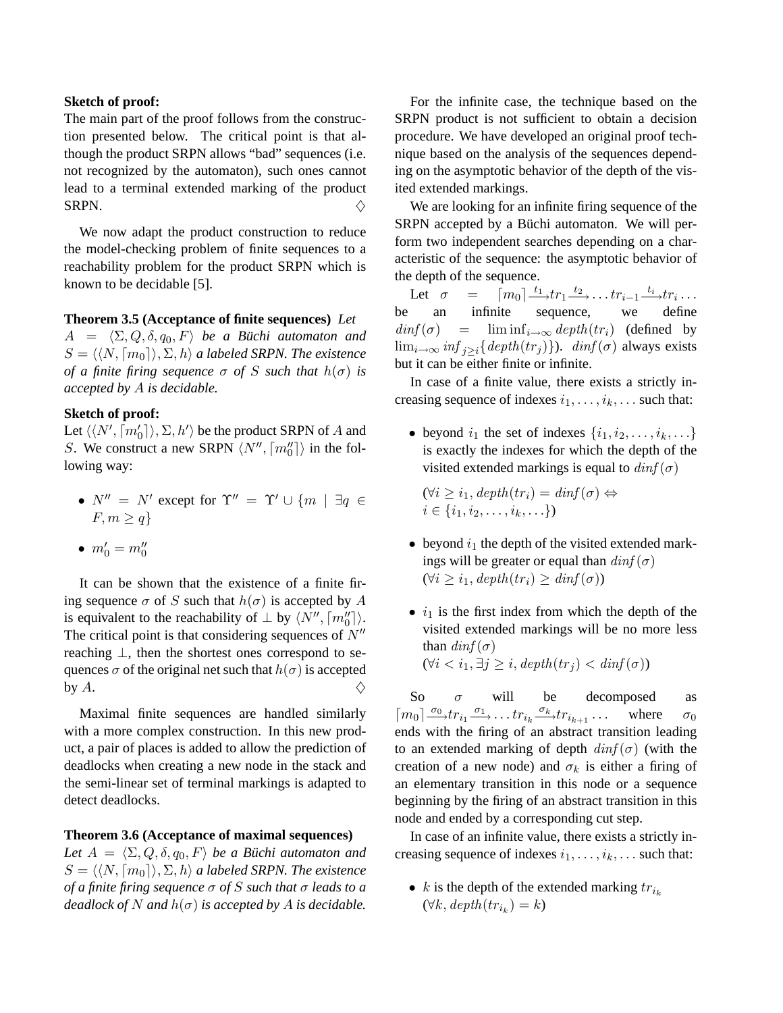#### **Sketch of proof:**

The main part of the proof follows from the construction presented below. The critical point is that although the product SRPN allows "bad" sequences (i.e. not recognized by the automaton), such ones cannot lead to a terminal extended marking of the product SRPN.  $\Diamond$ 

We now adapt the product construction to reduce the model-checking problem of finite sequences to a reachability problem for the product SRPN which is known to be decidable [5].

### **Theorem 3.5 (Acceptance of finite sequences)** *Let*

 $A = \langle \Sigma, Q, \delta, q_0, F \rangle$  *be a Büchi automaton and*  $S = \langle \langle N, [m_0] \rangle, \Sigma, h \rangle$  *a labeled SRPN. The existence of a finite firing sequence*  $\sigma$  *of* S *such that*  $h(\sigma)$  *is accepted by* A *is decidable.*

### **Sketch of proof:**

Let  $\langle\langle N',\lceil m'_0\rceil\rangle, \Sigma, h'\rangle$  be the product SRPN of  $A$  and S. We construct a new SRPN  $\langle N'', \lceil m''_0 \rceil \rangle$  in the following way:

- $N'' = N'$  except for  $\Upsilon'' = \Upsilon' \cup \{m \mid \exists q \in$  $F, m \geq q$
- $m'_0 = m''_0$

It can be shown that the existence of a finite firing sequence  $\sigma$  of S such that  $h(\sigma)$  is accepted by A is equivalent to the reachability of  $\perp$  by  $\langle N'', \lceil m_0'' \rceil \rangle$ . The critical point is that considering sequences of  $N''$ reaching ⊥, then the shortest ones correspond to sequences  $\sigma$  of the original net such that  $h(\sigma)$  is accepted by A.  $\diamondsuit$ 

Maximal finite sequences are handled similarly with a more complex construction. In this new product, a pair of places is added to allow the prediction of deadlocks when creating a new node in the stack and the semi-linear set of terminal markings is adapted to detect deadlocks.

#### **Theorem 3.6 (Acceptance of maximal sequences)**

Let  $A = \langle \Sigma, Q, \delta, q_0, F \rangle$  *be a Buchi automaton and*  $S = \langle \langle N, [m_0] \rangle, \Sigma, h \rangle$  *a labeled SRPN. The existence of a finite firing sequence* σ *of* S *such that* σ *leads to a deadlock of* N *and*  $h(\sigma)$  *is accepted by* A *is decidable.* 

For the infinite case, the technique based on the SRPN product is not sufficient to obtain a decision procedure. We have developed an original proof technique based on the analysis of the sequences depending on the asymptotic behavior of the depth of the visited extended markings.

We are looking for an infinite firing sequence of the SRPN accepted by a Büchi automaton. We will perform two independent searches depending on a characteristic of the sequence: the asymptotic behavior of the depth of the sequence.

Let  $\sigma$  =  $[m_0] \xrightarrow{t_1} tr_1 \xrightarrow{t_2} \dots tr_{i-1} \xrightarrow{t_i} tr_i \dots$ be an infinite sequence, we define  $dinf(\sigma)$  =  $\liminf_{i\to\infty} depth(tr_i)$  (defined by  $\lim_{i\to\infty}$  inf<sub>i</sub><sub>i</sub>>i{depth(tr<sub>j</sub>)}). dinf( $\sigma$ ) always exists but it can be either finite or infinite.

In case of a finite value, there exists a strictly increasing sequence of indexes  $i_1, \ldots, i_k, \ldots$  such that:

• beyond  $i_1$  the set of indexes  $\{i_1, i_2, \ldots, i_k, \ldots\}$ is exactly the indexes for which the depth of the visited extended markings is equal to  $\text{dinf}(\sigma)$ 

 $(\forall i \geq i_1, depth(tr_i) = dimf(\sigma) \Leftrightarrow$  $i \in \{i_1, i_2, \ldots, i_k, \ldots\}$ 

- beyond  $i_1$  the depth of the visited extended markings will be greater or equal than  $\text{dinf}(\sigma)$  $(\forall i \geq i_1, depth(tr_i) \geq dimf(\sigma))$
- $\bullet$   $i_1$  is the first index from which the depth of the visited extended markings will be no more less than  $\text{dinf}(\sigma)$  $(\forall i \leq i_1, \exists j \geq i, \text{depth}(tr_i) \leq \text{dim}(f(\sigma))$

So  $\sigma$  will be decomposed as  $\lceil m_0 \rceil \frac{\sigma_0}{\longrightarrow} tr_{i_1} \frac{\sigma_1}{\longrightarrow} \dots tr_{i_k} \frac{\sigma_k}{\longrightarrow} tr_{i_{k+1}} \dots$  where  $\sigma_0$ ends with the firing of an abstract transition leading to an extended marking of depth  $\text{dinf}(\sigma)$  (with the creation of a new node) and  $\sigma_k$  is either a firing of an elementary transition in this node or a sequence beginning by the firing of an abstract transition in this node and ended by a corresponding cut step.

In case of an infinite value, there exists a strictly increasing sequence of indexes  $i_1, \ldots, i_k, \ldots$  such that:

• k is the depth of the extended marking  $tr_{i_k}$  $(\forall k, \text{depth}(tr_{i_k}) = k)$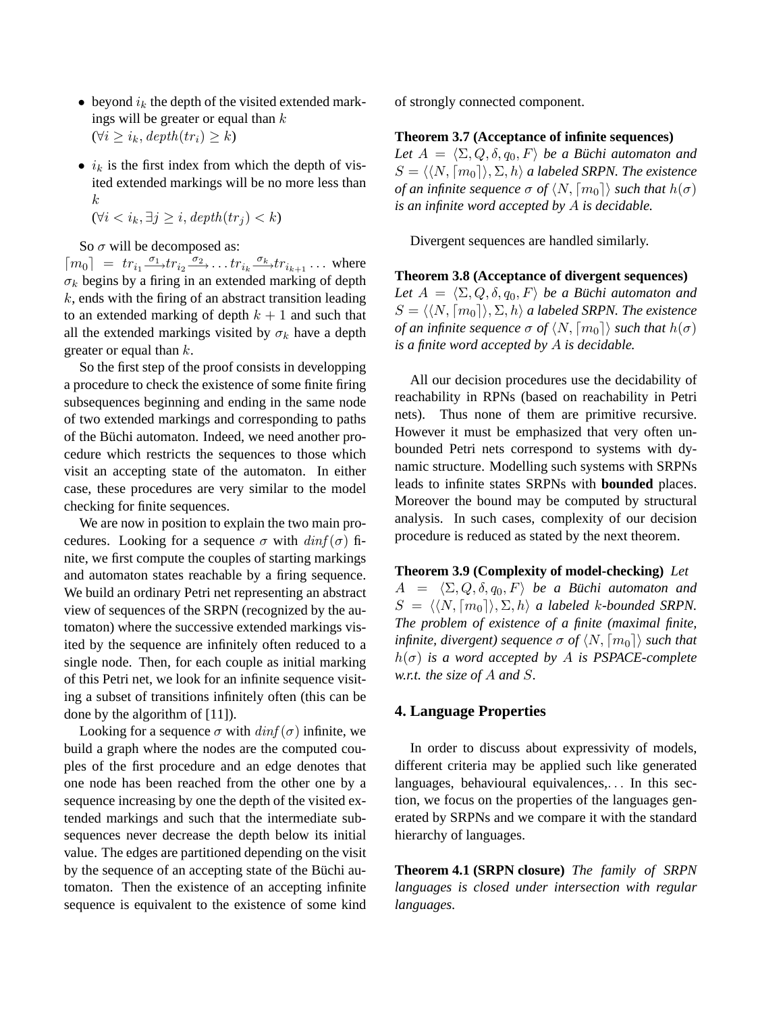- beyond  $i_k$  the depth of the visited extended markings will be greater or equal than  $k$  $(\forall i \geq i_k, depth(tr_i) \geq k)$
- $i_k$  is the first index from which the depth of visited extended markings will be no more less than k

$$
(\forall i < i_k, \exists j \ge i, \text{depth}(tr_j) < k)
$$

So  $\sigma$  will be decomposed as:

 $\lceil m_0 \rceil = tr_{i_1} \frac{\sigma_1}{\sqrt{2}} tr_{i_2} \frac{\sigma_2}{\sqrt{2}} \ldots tr_{i_k} \frac{\sigma_k}{\sqrt{2}} tr_{i_{k+1}} \ldots$  where  $\sigma_k$  begins by a firing in an extended marking of depth  $k$ , ends with the firing of an abstract transition leading to an extended marking of depth  $k + 1$  and such that all the extended markings visited by  $\sigma_k$  have a depth greater or equal than  $k$ .

So the first step of the proof consists in developping a procedure to check the existence of some finite firing subsequences beginning and ending in the same node of two extended markings and corresponding to paths of the Büchi automaton. Indeed, we need another procedure which restricts the sequences to those which visit an accepting state of the automaton. In either case, these procedures are very similar to the model checking for finite sequences.

We are now in position to explain the two main procedures. Looking for a sequence  $\sigma$  with  $\text{dinf}(\sigma)$  finite, we first compute the couples of starting markings and automaton states reachable by a firing sequence. We build an ordinary Petri net representing an abstract view of sequences of the SRPN (recognized by the automaton) where the successive extended markings visited by the sequence are infinitely often reduced to a single node. Then, for each couple as initial marking of this Petri net, we look for an infinite sequence visiting a subset of transitions infinitely often (this can be done by the algorithm of [11]).

Looking for a sequence  $\sigma$  with  $\text{dinf}(\sigma)$  infinite, we build a graph where the nodes are the computed couples of the first procedure and an edge denotes that one node has been reached from the other one by a sequence increasing by one the depth of the visited extended markings and such that the intermediate subsequences never decrease the depth below its initial value. The edges are partitioned depending on the visit by the sequence of an accepting state of the Büchi automaton. Then the existence of an accepting infinite sequence is equivalent to the existence of some kind

of strongly connected component.

# **Theorem 3.7 (Acceptance of infinite sequences)**

Let  $A = \langle \Sigma, Q, \delta, q_0, F \rangle$  *be a Büchi automaton and*  $S = \langle \langle N, [m_0] \rangle, \Sigma, h \rangle$  *a labeled SRPN. The existence of an infinite sequence*  $\sigma$  *of*  $\langle N, m_0 \rangle$  *such that*  $h(\sigma)$ *is an infinite word accepted by* A *is decidable.*

Divergent sequences are handled similarly.

#### **Theorem 3.8 (Acceptance of divergent sequences)**

Let  $A = \langle \Sigma, Q, \delta, q_0, F \rangle$  *be a Büchi automaton and*  $S = \langle \langle N, [m_0] \rangle, \Sigma, h \rangle$  *a labeled SRPN. The existence of an infinite sequence*  $\sigma$  *of*  $\langle N, m_0 \rangle$  *such that*  $h(\sigma)$ *is a finite word accepted by* A *is decidable.*

All our decision procedures use the decidability of reachability in RPNs (based on reachability in Petri nets). Thus none of them are primitive recursive. However it must be emphasized that very often unbounded Petri nets correspond to systems with dynamic structure. Modelling such systems with SRPNs leads to infinite states SRPNs with **bounded** places. Moreover the bound may be computed by structural analysis. In such cases, complexity of our decision procedure is reduced as stated by the next theorem.

**Theorem 3.9 (Complexity of model-checking)** *Let*  $A = \langle \Sigma, Q, \delta, q_0, F \rangle$  *be a Büchi automaton and*  $S = \langle \langle N, [m_0] \rangle, \Sigma, h \rangle$  *a labeled k-bounded SRPN. The problem of existence of a finite (maximal finite, infinite, divergent) sequence*  $\sigma$  *of*  $\langle N, m_0 \rangle$  *such that*  $h(\sigma)$  *is a word accepted by A is PSPACE-complete w.r.t. the size of* A *and* S*.*

### **4. Language Properties**

In order to discuss about expressivity of models, different criteria may be applied such like generated languages, behavioural equivalences,. . . In this section, we focus on the properties of the languages generated by SRPNs and we compare it with the standard hierarchy of languages.

**Theorem 4.1 (SRPN closure)** *The family of SRPN languages is closed under intersection with regular languages.*